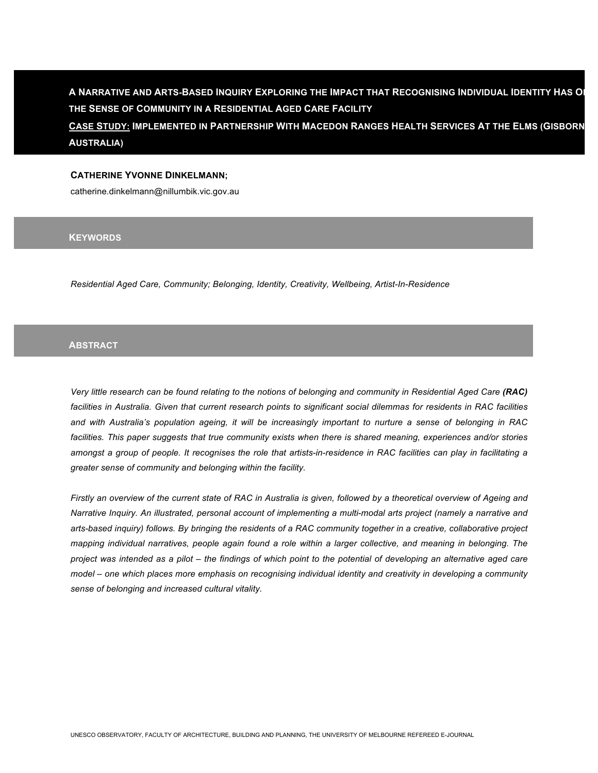**A NARRATIVE AND ARTS-BASED INQUIRY EXPLORING THE IMPACT THAT RECOGNISING INDIVIDUAL IDENTITY HAS ON THE SENSE OF COMMUNITY IN A RESIDENTIAL AGED CARE FACILITY CASE STUDY: IMPLEMENTED IN PARTNERSHIP WITH MACEDON RANGES HEALTH SERVICES AT THE ELMS (GISBORNE, AUSTRALIA)** 

#### **CATHERINE YVONNE DINKELMANN;**

catherine.dinkelmann@nillumbik.vic.gov.au

# **KEYWORDS**

*Residential Aged Care, Community; Belonging, Identity, Creativity, Wellbeing, Artist-In-Residence*

# **ABSTRACT**

*Very little research can be found relating to the notions of belonging and community in Residential Aged Care (RAC)* facilities in Australia. Given that current research points to significant social dilemmas for residents in RAC facilities *and with Australia's population ageing, it will be increasingly important to nurture a sense of belonging in RAC*  facilities. This paper suggests that true community exists when there is shared meaning, experiences and/or stories *amongst a group of people. It recognises the role that artists-in-residence in RAC facilities can play in facilitating a greater sense of community and belonging within the facility.*

*Firstly an overview of the current state of RAC in Australia is given, followed by a theoretical overview of Ageing and Narrative Inquiry. An illustrated, personal account of implementing a multi-modal arts project (namely a narrative and arts-based inquiry) follows. By bringing the residents of a RAC community together in a creative, collaborative project mapping individual narratives, people again found a role within a larger collective, and meaning in belonging. The project was intended as a pilot – the findings of which point to the potential of developing an alternative aged care model – one which places more emphasis on recognising individual identity and creativity in developing a community sense of belonging and increased cultural vitality.*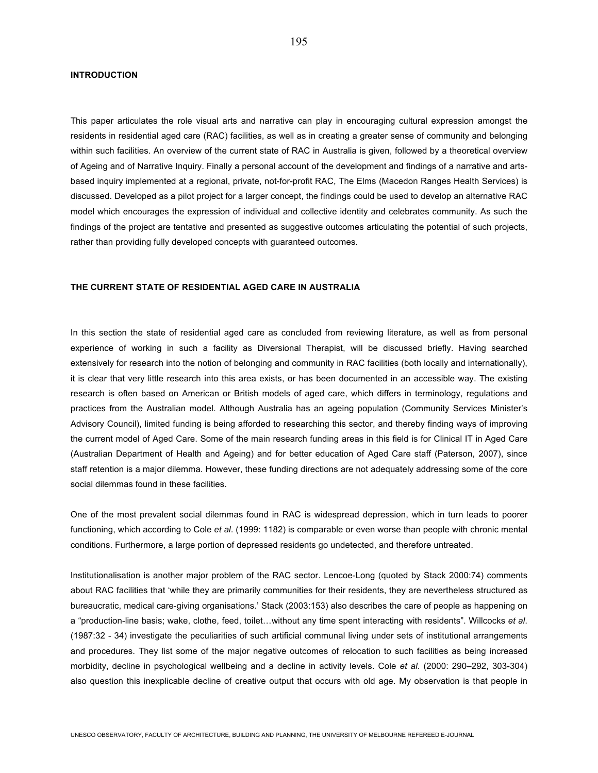# **INTRODUCTION**

This paper articulates the role visual arts and narrative can play in encouraging cultural expression amongst the residents in residential aged care (RAC) facilities, as well as in creating a greater sense of community and belonging within such facilities. An overview of the current state of RAC in Australia is given, followed by a theoretical overview of Ageing and of Narrative Inquiry. Finally a personal account of the development and findings of a narrative and artsbased inquiry implemented at a regional, private, not-for-profit RAC, The Elms (Macedon Ranges Health Services) is discussed. Developed as a pilot project for a larger concept, the findings could be used to develop an alternative RAC model which encourages the expression of individual and collective identity and celebrates community. As such the findings of the project are tentative and presented as suggestive outcomes articulating the potential of such projects, rather than providing fully developed concepts with guaranteed outcomes.

### **THE CURRENT STATE OF RESIDENTIAL AGED CARE IN AUSTRALIA**

In this section the state of residential aged care as concluded from reviewing literature, as well as from personal experience of working in such a facility as Diversional Therapist, will be discussed briefly. Having searched extensively for research into the notion of belonging and community in RAC facilities (both locally and internationally), it is clear that very little research into this area exists, or has been documented in an accessible way. The existing research is often based on American or British models of aged care, which differs in terminology, regulations and practices from the Australian model. Although Australia has an ageing population (Community Services Minister's Advisory Council), limited funding is being afforded to researching this sector, and thereby finding ways of improving the current model of Aged Care. Some of the main research funding areas in this field is for Clinical IT in Aged Care (Australian Department of Health and Ageing) and for better education of Aged Care staff (Paterson, 2007), since staff retention is a major dilemma. However, these funding directions are not adequately addressing some of the core social dilemmas found in these facilities.

One of the most prevalent social dilemmas found in RAC is widespread depression, which in turn leads to poorer functioning, which according to Cole *et al*. (1999: 1182) is comparable or even worse than people with chronic mental conditions. Furthermore, a large portion of depressed residents go undetected, and therefore untreated.

Institutionalisation is another major problem of the RAC sector. Lencoe-Long (quoted by Stack 2000:74) comments about RAC facilities that 'while they are primarily communities for their residents, they are nevertheless structured as bureaucratic, medical care-giving organisations.' Stack (2003:153) also describes the care of people as happening on a "production-line basis; wake, clothe, feed, toilet…without any time spent interacting with residents". Willcocks *et al*. (1987:32 - 34) investigate the peculiarities of such artificial communal living under sets of institutional arrangements and procedures. They list some of the major negative outcomes of relocation to such facilities as being increased morbidity, decline in psychological wellbeing and a decline in activity levels. Cole *et al*. (2000: 290–292, 303-304) also question this inexplicable decline of creative output that occurs with old age. My observation is that people in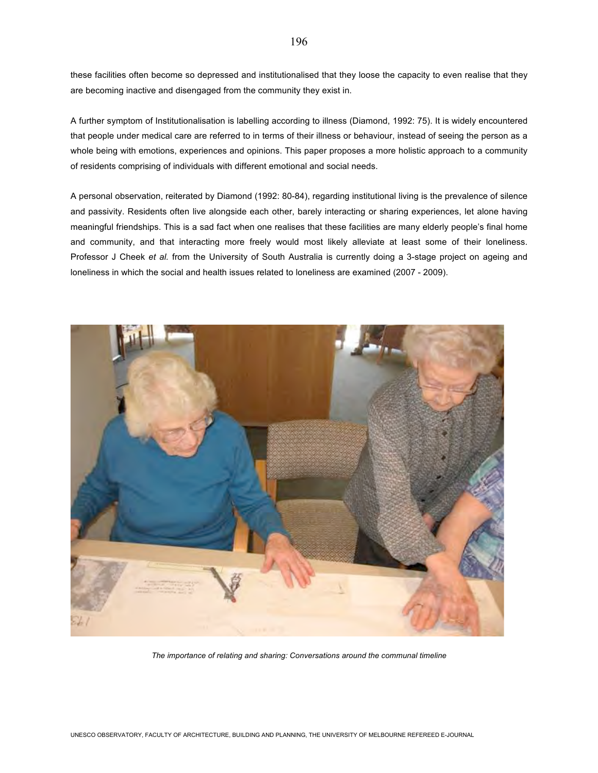these facilities often become so depressed and institutionalised that they loose the capacity to even realise that they are becoming inactive and disengaged from the community they exist in.

A further symptom of Institutionalisation is labelling according to illness (Diamond, 1992: 75). It is widely encountered that people under medical care are referred to in terms of their illness or behaviour, instead of seeing the person as a whole being with emotions, experiences and opinions. This paper proposes a more holistic approach to a community of residents comprising of individuals with different emotional and social needs.

A personal observation, reiterated by Diamond (1992: 80-84), regarding institutional living is the prevalence of silence and passivity. Residents often live alongside each other, barely interacting or sharing experiences, let alone having meaningful friendships. This is a sad fact when one realises that these facilities are many elderly people's final home and community, and that interacting more freely would most likely alleviate at least some of their loneliness. Professor J Cheek *et al.* from the University of South Australia is currently doing a 3-stage project on ageing and loneliness in which the social and health issues related to loneliness are examined (2007 - 2009).



*The importance of relating and sharing: Conversations around the communal timeline*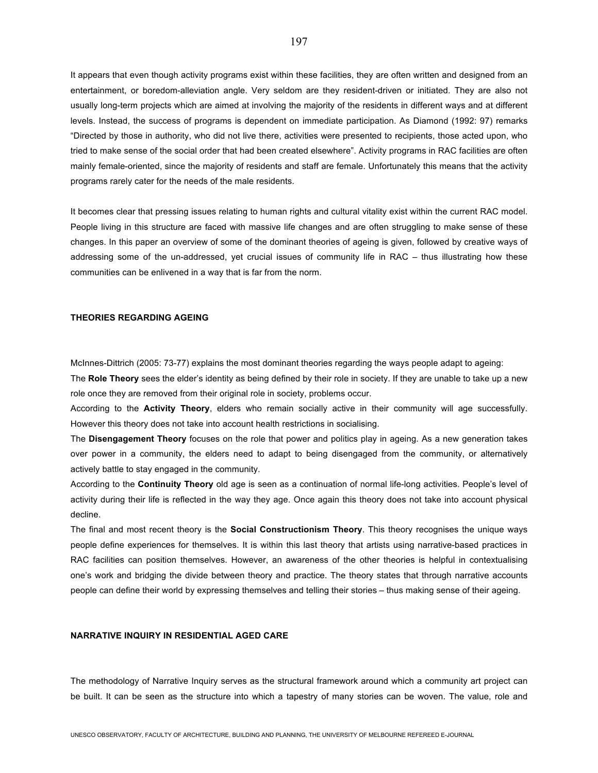It appears that even though activity programs exist within these facilities, they are often written and designed from an entertainment, or boredom-alleviation angle. Very seldom are they resident-driven or initiated. They are also not usually long-term projects which are aimed at involving the majority of the residents in different ways and at different levels. Instead, the success of programs is dependent on immediate participation. As Diamond (1992: 97) remarks "Directed by those in authority, who did not live there, activities were presented to recipients, those acted upon, who tried to make sense of the social order that had been created elsewhere". Activity programs in RAC facilities are often mainly female-oriented, since the majority of residents and staff are female. Unfortunately this means that the activity programs rarely cater for the needs of the male residents.

It becomes clear that pressing issues relating to human rights and cultural vitality exist within the current RAC model. People living in this structure are faced with massive life changes and are often struggling to make sense of these changes. In this paper an overview of some of the dominant theories of ageing is given, followed by creative ways of addressing some of the un-addressed, yet crucial issues of community life in RAC – thus illustrating how these communities can be enlivened in a way that is far from the norm.

## **THEORIES REGARDING AGEING**

McInnes-Dittrich (2005: 73-77) explains the most dominant theories regarding the ways people adapt to ageing:

The **Role Theory** sees the elder's identity as being defined by their role in society. If they are unable to take up a new role once they are removed from their original role in society, problems occur.

According to the **Activity Theory**, elders who remain socially active in their community will age successfully. However this theory does not take into account health restrictions in socialising.

The **Disengagement Theory** focuses on the role that power and politics play in ageing. As a new generation takes over power in a community, the elders need to adapt to being disengaged from the community, or alternatively actively battle to stay engaged in the community.

According to the **Continuity Theory** old age is seen as a continuation of normal life-long activities. People's level of activity during their life is reflected in the way they age. Once again this theory does not take into account physical decline.

The final and most recent theory is the **Social Constructionism Theory**. This theory recognises the unique ways people define experiences for themselves. It is within this last theory that artists using narrative-based practices in RAC facilities can position themselves. However, an awareness of the other theories is helpful in contextualising one's work and bridging the divide between theory and practice. The theory states that through narrative accounts people can define their world by expressing themselves and telling their stories – thus making sense of their ageing.

## **NARRATIVE INQUIRY IN RESIDENTIAL AGED CARE**

The methodology of Narrative Inquiry serves as the structural framework around which a community art project can be built. It can be seen as the structure into which a tapestry of many stories can be woven. The value, role and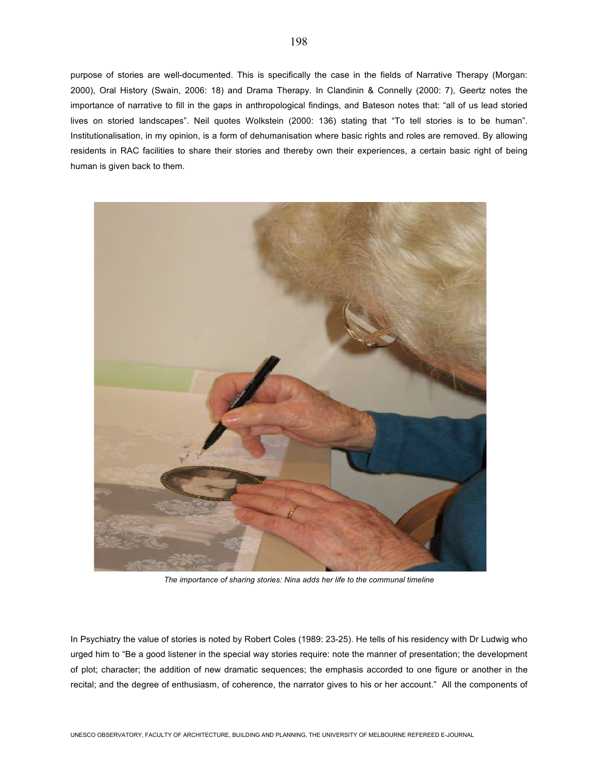purpose of stories are well-documented. This is specifically the case in the fields of Narrative Therapy (Morgan: 2000), Oral History (Swain, 2006: 18) and Drama Therapy. In Clandinin & Connelly (2000: 7), Geertz notes the importance of narrative to fill in the gaps in anthropological findings, and Bateson notes that: "all of us lead storied lives on storied landscapes". Neil quotes Wolkstein (2000: 136) stating that "To tell stories is to be human". Institutionalisation, in my opinion, is a form of dehumanisation where basic rights and roles are removed. By allowing residents in RAC facilities to share their stories and thereby own their experiences, a certain basic right of being human is given back to them.



*The importance of sharing stories: Nina adds her life to the communal timeline*

In Psychiatry the value of stories is noted by Robert Coles (1989: 23-25). He tells of his residency with Dr Ludwig who urged him to "Be a good listener in the special way stories require: note the manner of presentation; the development of plot; character; the addition of new dramatic sequences; the emphasis accorded to one figure or another in the recital; and the degree of enthusiasm, of coherence, the narrator gives to his or her account." All the components of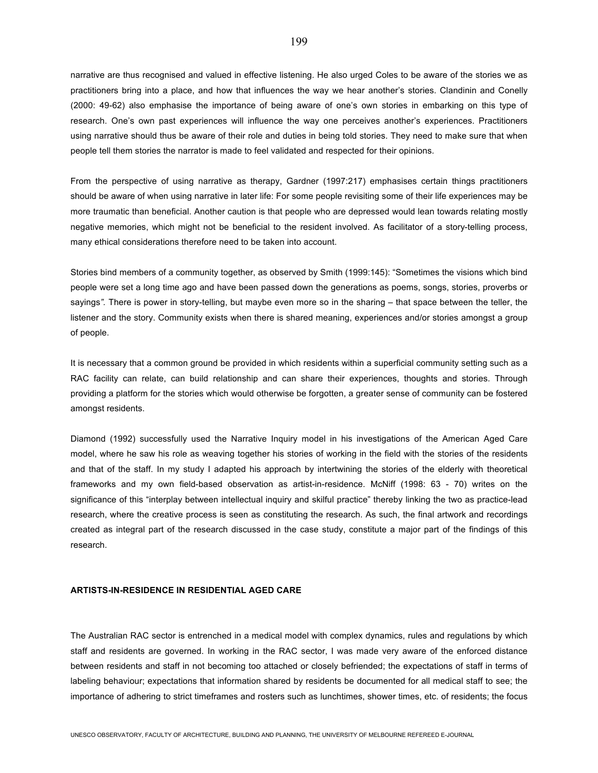narrative are thus recognised and valued in effective listening. He also urged Coles to be aware of the stories we as practitioners bring into a place, and how that influences the way we hear another's stories. Clandinin and Conelly (2000: 49-62) also emphasise the importance of being aware of one's own stories in embarking on this type of research. One's own past experiences will influence the way one perceives another's experiences. Practitioners using narrative should thus be aware of their role and duties in being told stories. They need to make sure that when people tell them stories the narrator is made to feel validated and respected for their opinions.

From the perspective of using narrative as therapy, Gardner (1997:217) emphasises certain things practitioners should be aware of when using narrative in later life: For some people revisiting some of their life experiences may be more traumatic than beneficial. Another caution is that people who are depressed would lean towards relating mostly negative memories, which might not be beneficial to the resident involved. As facilitator of a story-telling process, many ethical considerations therefore need to be taken into account.

Stories bind members of a community together, as observed by Smith (1999:145): "Sometimes the visions which bind people were set a long time ago and have been passed down the generations as poems, songs, stories, proverbs or sayings*".* There is power in story-telling, but maybe even more so in the sharing – that space between the teller, the listener and the story. Community exists when there is shared meaning, experiences and/or stories amongst a group of people.

It is necessary that a common ground be provided in which residents within a superficial community setting such as a RAC facility can relate, can build relationship and can share their experiences, thoughts and stories. Through providing a platform for the stories which would otherwise be forgotten, a greater sense of community can be fostered amongst residents.

Diamond (1992) successfully used the Narrative Inquiry model in his investigations of the American Aged Care model, where he saw his role as weaving together his stories of working in the field with the stories of the residents and that of the staff. In my study I adapted his approach by intertwining the stories of the elderly with theoretical frameworks and my own field-based observation as artist-in-residence. McNiff (1998: 63 - 70) writes on the significance of this "interplay between intellectual inquiry and skilful practice" thereby linking the two as practice-lead research, where the creative process is seen as constituting the research. As such, the final artwork and recordings created as integral part of the research discussed in the case study, constitute a major part of the findings of this research.

## **ARTISTS-IN-RESIDENCE IN RESIDENTIAL AGED CARE**

The Australian RAC sector is entrenched in a medical model with complex dynamics, rules and regulations by which staff and residents are governed. In working in the RAC sector, I was made very aware of the enforced distance between residents and staff in not becoming too attached or closely befriended; the expectations of staff in terms of labeling behaviour; expectations that information shared by residents be documented for all medical staff to see; the importance of adhering to strict timeframes and rosters such as lunchtimes, shower times, etc. of residents; the focus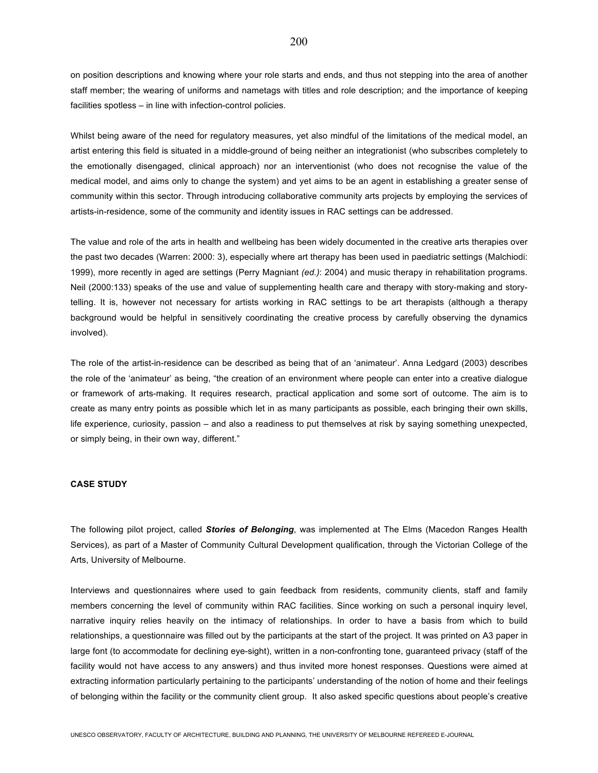on position descriptions and knowing where your role starts and ends, and thus not stepping into the area of another staff member; the wearing of uniforms and nametags with titles and role description; and the importance of keeping facilities spotless – in line with infection-control policies.

Whilst being aware of the need for regulatory measures, yet also mindful of the limitations of the medical model, an artist entering this field is situated in a middle-ground of being neither an integrationist (who subscribes completely to the emotionally disengaged, clinical approach) nor an interventionist (who does not recognise the value of the medical model, and aims only to change the system) and yet aims to be an agent in establishing a greater sense of community within this sector. Through introducing collaborative community arts projects by employing the services of artists-in-residence, some of the community and identity issues in RAC settings can be addressed.

The value and role of the arts in health and wellbeing has been widely documented in the creative arts therapies over the past two decades (Warren: 2000: 3), especially where art therapy has been used in paediatric settings (Malchiodi: 1999), more recently in aged are settings (Perry Magniant *(ed.)*: 2004) and music therapy in rehabilitation programs. Neil (2000:133) speaks of the use and value of supplementing health care and therapy with story-making and storytelling. It is, however not necessary for artists working in RAC settings to be art therapists (although a therapy background would be helpful in sensitively coordinating the creative process by carefully observing the dynamics involved).

The role of the artist-in-residence can be described as being that of an 'animateur'. Anna Ledgard (2003) describes the role of the 'animateur' as being, "the creation of an environment where people can enter into a creative dialogue or framework of arts-making. It requires research, practical application and some sort of outcome. The aim is to create as many entry points as possible which let in as many participants as possible, each bringing their own skills, life experience, curiosity, passion – and also a readiness to put themselves at risk by saying something unexpected, or simply being, in their own way, different."

### **CASE STUDY**

The following pilot project, called *Stories of Belonging*, was implemented at The Elms (Macedon Ranges Health Services), as part of a Master of Community Cultural Development qualification, through the Victorian College of the Arts, University of Melbourne.

Interviews and questionnaires where used to gain feedback from residents, community clients, staff and family members concerning the level of community within RAC facilities. Since working on such a personal inquiry level, narrative inquiry relies heavily on the intimacy of relationships. In order to have a basis from which to build relationships, a questionnaire was filled out by the participants at the start of the project. It was printed on A3 paper in large font (to accommodate for declining eye-sight), written in a non-confronting tone, guaranteed privacy (staff of the facility would not have access to any answers) and thus invited more honest responses. Questions were aimed at extracting information particularly pertaining to the participants' understanding of the notion of home and their feelings of belonging within the facility or the community client group. It also asked specific questions about people's creative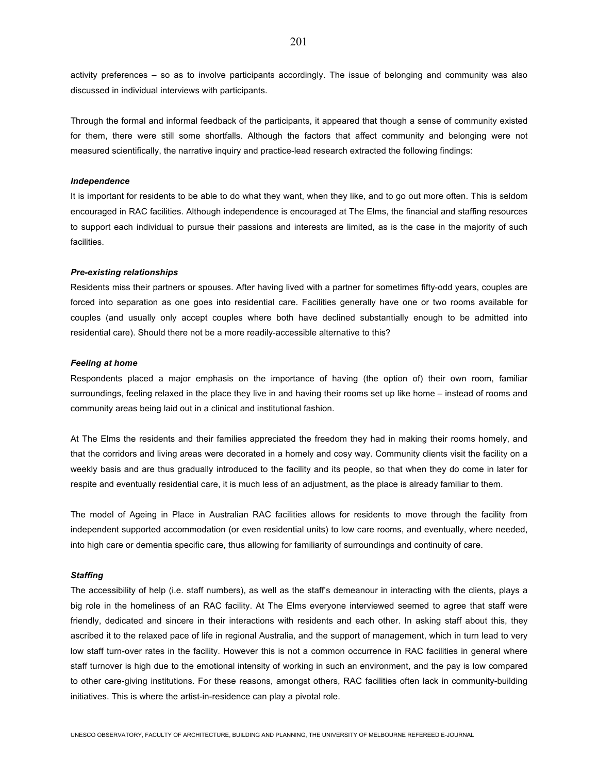activity preferences – so as to involve participants accordingly. The issue of belonging and community was also discussed in individual interviews with participants.

Through the formal and informal feedback of the participants, it appeared that though a sense of community existed for them, there were still some shortfalls. Although the factors that affect community and belonging were not measured scientifically, the narrative inquiry and practice-lead research extracted the following findings:

### *Independence*

It is important for residents to be able to do what they want, when they like, and to go out more often. This is seldom encouraged in RAC facilities. Although independence is encouraged at The Elms, the financial and staffing resources to support each individual to pursue their passions and interests are limited, as is the case in the majority of such facilities.

### *Pre-existing relationships*

Residents miss their partners or spouses. After having lived with a partner for sometimes fifty-odd years, couples are forced into separation as one goes into residential care. Facilities generally have one or two rooms available for couples (and usually only accept couples where both have declined substantially enough to be admitted into residential care). Should there not be a more readily-accessible alternative to this?

#### *Feeling at home*

Respondents placed a major emphasis on the importance of having (the option of) their own room, familiar surroundings, feeling relaxed in the place they live in and having their rooms set up like home – instead of rooms and community areas being laid out in a clinical and institutional fashion.

At The Elms the residents and their families appreciated the freedom they had in making their rooms homely, and that the corridors and living areas were decorated in a homely and cosy way. Community clients visit the facility on a weekly basis and are thus gradually introduced to the facility and its people, so that when they do come in later for respite and eventually residential care, it is much less of an adjustment, as the place is already familiar to them.

The model of Ageing in Place in Australian RAC facilities allows for residents to move through the facility from independent supported accommodation (or even residential units) to low care rooms, and eventually, where needed, into high care or dementia specific care, thus allowing for familiarity of surroundings and continuity of care.

## *Staffing*

The accessibility of help (i.e. staff numbers), as well as the staff's demeanour in interacting with the clients, plays a big role in the homeliness of an RAC facility. At The Elms everyone interviewed seemed to agree that staff were friendly, dedicated and sincere in their interactions with residents and each other. In asking staff about this, they ascribed it to the relaxed pace of life in regional Australia, and the support of management, which in turn lead to very low staff turn-over rates in the facility. However this is not a common occurrence in RAC facilities in general where staff turnover is high due to the emotional intensity of working in such an environment, and the pay is low compared to other care-giving institutions. For these reasons, amongst others, RAC facilities often lack in community-building initiatives. This is where the artist-in-residence can play a pivotal role.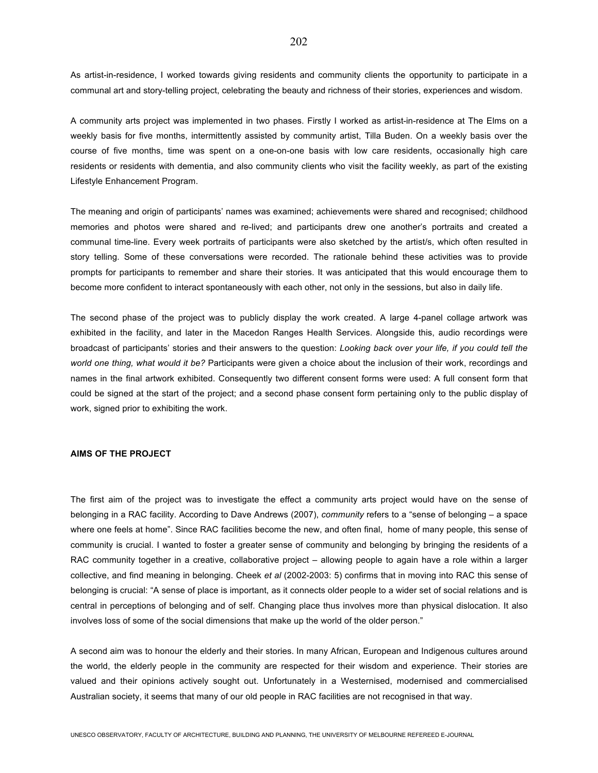As artist-in-residence, I worked towards giving residents and community clients the opportunity to participate in a communal art and story-telling project, celebrating the beauty and richness of their stories, experiences and wisdom.

A community arts project was implemented in two phases. Firstly I worked as artist-in-residence at The Elms on a weekly basis for five months, intermittently assisted by community artist, Tilla Buden. On a weekly basis over the course of five months, time was spent on a one-on-one basis with low care residents, occasionally high care residents or residents with dementia, and also community clients who visit the facility weekly, as part of the existing Lifestyle Enhancement Program.

The meaning and origin of participants' names was examined; achievements were shared and recognised; childhood memories and photos were shared and re-lived; and participants drew one another's portraits and created a communal time-line. Every week portraits of participants were also sketched by the artist/s, which often resulted in story telling. Some of these conversations were recorded. The rationale behind these activities was to provide prompts for participants to remember and share their stories. It was anticipated that this would encourage them to become more confident to interact spontaneously with each other, not only in the sessions, but also in daily life.

The second phase of the project was to publicly display the work created. A large 4-panel collage artwork was exhibited in the facility, and later in the Macedon Ranges Health Services. Alongside this, audio recordings were broadcast of participants' stories and their answers to the question: *Looking back over your life, if you could tell the world one thing, what would it be?* Participants were given a choice about the inclusion of their work, recordings and names in the final artwork exhibited. Consequently two different consent forms were used: A full consent form that could be signed at the start of the project; and a second phase consent form pertaining only to the public display of work, signed prior to exhibiting the work.

## **AIMS OF THE PROJECT**

The first aim of the project was to investigate the effect a community arts project would have on the sense of belonging in a RAC facility. According to Dave Andrews (2007), *community* refers to a "sense of belonging – a space where one feels at home". Since RAC facilities become the new, and often final, home of many people, this sense of community is crucial. I wanted to foster a greater sense of community and belonging by bringing the residents of a RAC community together in a creative, collaborative project – allowing people to again have a role within a larger collective, and find meaning in belonging. Cheek *et al* (2002-2003: 5) confirms that in moving into RAC this sense of belonging is crucial: "A sense of place is important, as it connects older people to a wider set of social relations and is central in perceptions of belonging and of self. Changing place thus involves more than physical dislocation. It also involves loss of some of the social dimensions that make up the world of the older person."

A second aim was to honour the elderly and their stories. In many African, European and Indigenous cultures around the world, the elderly people in the community are respected for their wisdom and experience. Their stories are valued and their opinions actively sought out. Unfortunately in a Westernised, modernised and commercialised Australian society, it seems that many of our old people in RAC facilities are not recognised in that way.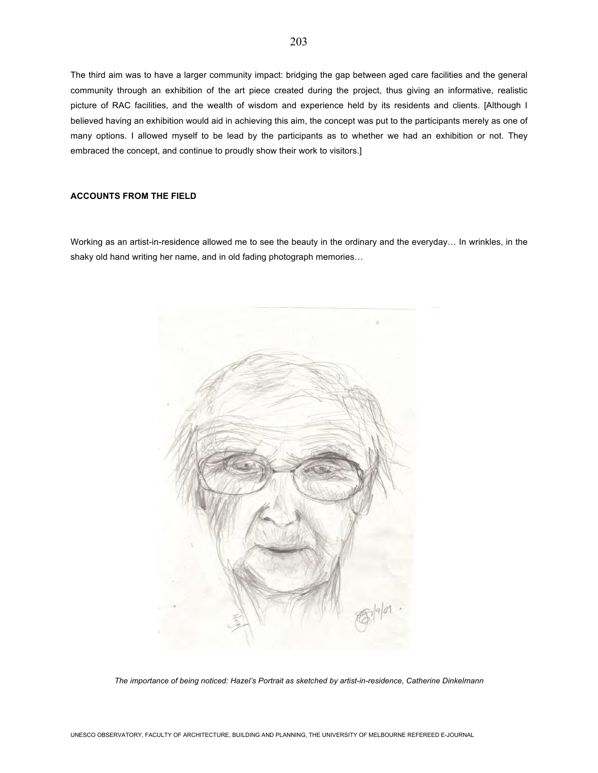The third aim was to have a larger community impact: bridging the gap between aged care facilities and the general community through an exhibition of the art piece created during the project, thus giving an informative, realistic picture of RAC facilities, and the wealth of wisdom and experience held by its residents and clients. [Although I believed having an exhibition would aid in achieving this aim, the concept was put to the participants merely as one of many options. I allowed myself to be lead by the participants as to whether we had an exhibition or not. They embraced the concept, and continue to proudly show their work to visitors.]

## **ACCOUNTS FROM THE FIELD**

Working as an artist-in-residence allowed me to see the beauty in the ordinary and the everyday… In wrinkles, in the shaky old hand writing her name, and in old fading photograph memories…



*The importance of being noticed: Hazel's Portrait as sketched by artist-in-residence, Catherine Dinkelmann*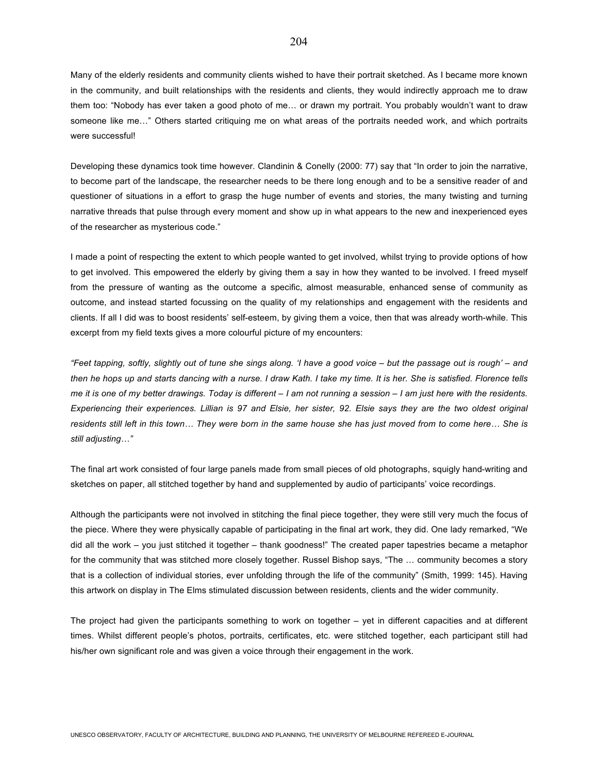Many of the elderly residents and community clients wished to have their portrait sketched. As I became more known in the community, and built relationships with the residents and clients, they would indirectly approach me to draw them too: "Nobody has ever taken a good photo of me… or drawn my portrait. You probably wouldn't want to draw someone like me…" Others started critiquing me on what areas of the portraits needed work, and which portraits were successful!

Developing these dynamics took time however. Clandinin & Conelly (2000: 77) say that "In order to join the narrative, to become part of the landscape, the researcher needs to be there long enough and to be a sensitive reader of and questioner of situations in a effort to grasp the huge number of events and stories, the many twisting and turning narrative threads that pulse through every moment and show up in what appears to the new and inexperienced eyes of the researcher as mysterious code."

I made a point of respecting the extent to which people wanted to get involved, whilst trying to provide options of how to get involved. This empowered the elderly by giving them a say in how they wanted to be involved. I freed myself from the pressure of wanting as the outcome a specific, almost measurable, enhanced sense of community as outcome, and instead started focussing on the quality of my relationships and engagement with the residents and clients. If all I did was to boost residents' self-esteem, by giving them a voice, then that was already worth-while. This excerpt from my field texts gives a more colourful picture of my encounters:

*"Feet tapping, softly, slightly out of tune she sings along. 'I have a good voice – but the passage out is rough' – and then he hops up and starts dancing with a nurse. I draw Kath. I take my time. It is her. She is satisfied. Florence tells me it is one of my better drawings. Today is different – I am not running a session – I am just here with the residents. Experiencing their experiences. Lillian is 97 and Elsie, her sister, 92. Elsie says they are the two oldest original*  residents still left in this town... They were born in the same house she has just moved from to come here... She is *still adjusting…"*

The final art work consisted of four large panels made from small pieces of old photographs, squigly hand-writing and sketches on paper, all stitched together by hand and supplemented by audio of participants' voice recordings.

Although the participants were not involved in stitching the final piece together, they were still very much the focus of the piece. Where they were physically capable of participating in the final art work, they did. One lady remarked, "We did all the work – you just stitched it together – thank goodness!" The created paper tapestries became a metaphor for the community that was stitched more closely together. Russel Bishop says, "The … community becomes a story that is a collection of individual stories, ever unfolding through the life of the community" (Smith, 1999: 145). Having this artwork on display in The Elms stimulated discussion between residents, clients and the wider community.

The project had given the participants something to work on together – yet in different capacities and at different times. Whilst different people's photos, portraits, certificates, etc. were stitched together, each participant still had his/her own significant role and was given a voice through their engagement in the work.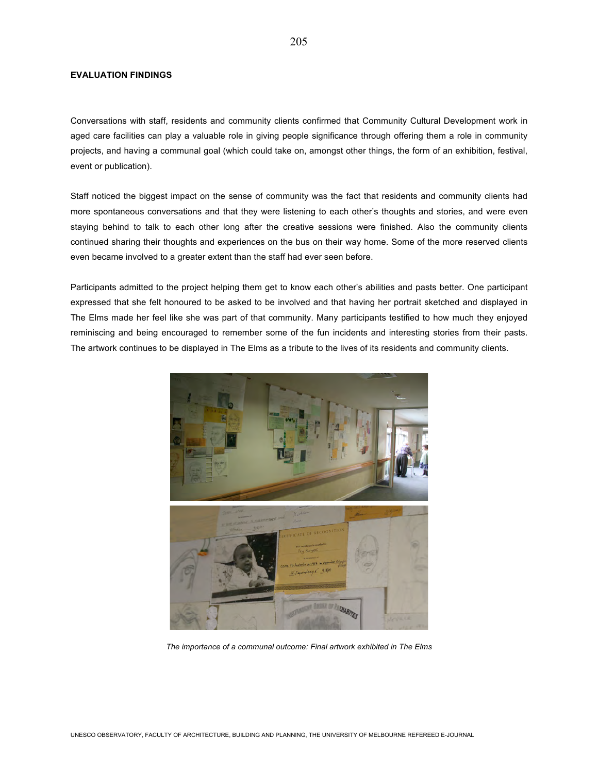# **EVALUATION FINDINGS**

Conversations with staff, residents and community clients confirmed that Community Cultural Development work in aged care facilities can play a valuable role in giving people significance through offering them a role in community projects, and having a communal goal (which could take on, amongst other things, the form of an exhibition, festival, event or publication).

Staff noticed the biggest impact on the sense of community was the fact that residents and community clients had more spontaneous conversations and that they were listening to each other's thoughts and stories, and were even staying behind to talk to each other long after the creative sessions were finished. Also the community clients continued sharing their thoughts and experiences on the bus on their way home. Some of the more reserved clients even became involved to a greater extent than the staff had ever seen before.

Participants admitted to the project helping them get to know each other's abilities and pasts better. One participant expressed that she felt honoured to be asked to be involved and that having her portrait sketched and displayed in The Elms made her feel like she was part of that community. Many participants testified to how much they enjoyed reminiscing and being encouraged to remember some of the fun incidents and interesting stories from their pasts. The artwork continues to be displayed in The Elms as a tribute to the lives of its residents and community clients.



*The importance of a communal outcome: Final artwork exhibited in The Elms*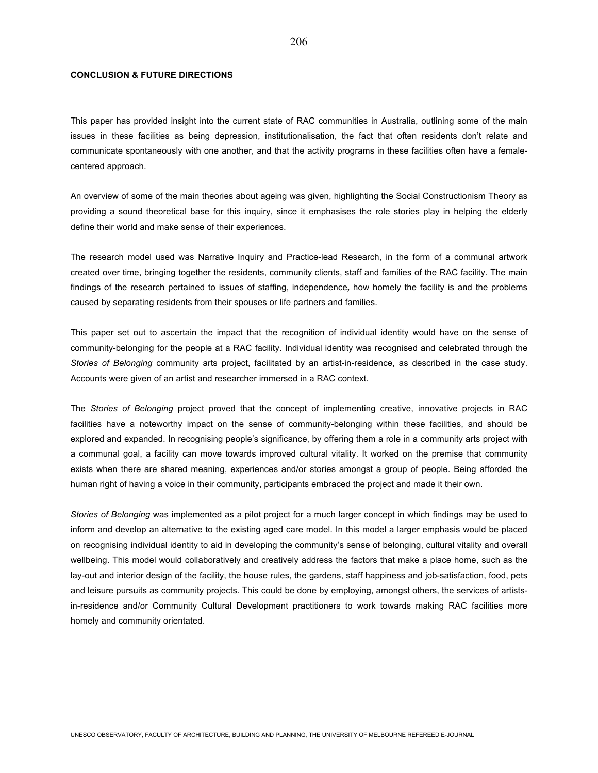# **CONCLUSION & FUTURE DIRECTIONS**

This paper has provided insight into the current state of RAC communities in Australia, outlining some of the main issues in these facilities as being depression, institutionalisation, the fact that often residents don't relate and communicate spontaneously with one another, and that the activity programs in these facilities often have a femalecentered approach.

An overview of some of the main theories about ageing was given, highlighting the Social Constructionism Theory as providing a sound theoretical base for this inquiry, since it emphasises the role stories play in helping the elderly define their world and make sense of their experiences.

The research model used was Narrative Inquiry and Practice-lead Research, in the form of a communal artwork created over time, bringing together the residents, community clients, staff and families of the RAC facility. The main findings of the research pertained to issues of staffing, independence*,* how homely the facility is and the problems caused by separating residents from their spouses or life partners and families.

This paper set out to ascertain the impact that the recognition of individual identity would have on the sense of community-belonging for the people at a RAC facility. Individual identity was recognised and celebrated through the *Stories of Belonging* community arts project, facilitated by an artist-in-residence, as described in the case study. Accounts were given of an artist and researcher immersed in a RAC context.

The *Stories of Belonging* project proved that the concept of implementing creative, innovative projects in RAC facilities have a noteworthy impact on the sense of community-belonging within these facilities, and should be explored and expanded. In recognising people's significance, by offering them a role in a community arts project with a communal goal, a facility can move towards improved cultural vitality. It worked on the premise that community exists when there are shared meaning, experiences and/or stories amongst a group of people. Being afforded the human right of having a voice in their community, participants embraced the project and made it their own.

*Stories of Belonging* was implemented as a pilot project for a much larger concept in which findings may be used to inform and develop an alternative to the existing aged care model. In this model a larger emphasis would be placed on recognising individual identity to aid in developing the community's sense of belonging, cultural vitality and overall wellbeing. This model would collaboratively and creatively address the factors that make a place home, such as the lay-out and interior design of the facility, the house rules, the gardens, staff happiness and job-satisfaction, food, pets and leisure pursuits as community projects. This could be done by employing, amongst others, the services of artistsin-residence and/or Community Cultural Development practitioners to work towards making RAC facilities more homely and community orientated.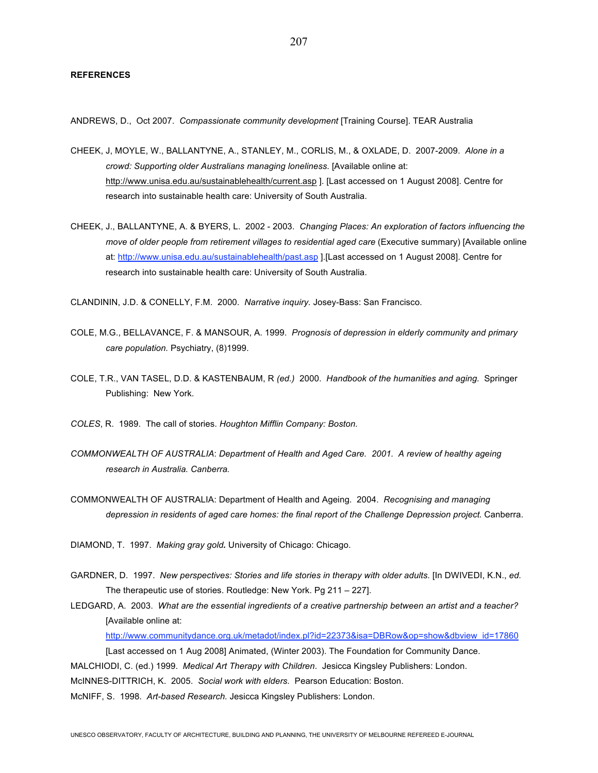# **REFERENCES**

ANDREWS, D., Oct 2007. *Compassionate community development* [Training Course]. TEAR Australia

- CHEEK, J, MOYLE, W., BALLANTYNE, A., STANLEY, M., CORLIS, M., & OXLADE, D.2007-2009. *Alone in a crowd: Supporting older Australians managing loneliness.* [Available online at: http://www.unisa.edu.au/sustainablehealth/current.asp ]. [Last accessed on 1 August 2008]. Centre for research into sustainable health care: University of South Australia.
- CHEEK, J., BALLANTYNE, A. & BYERS, L. 2002 2003. *Changing Places: An exploration of factors influencing the move of older people from retirement villages to residential aged care* (Executive summary) [Available online at: http://www.unisa.edu.au/sustainablehealth/past.asp ].[Last accessed on 1 August 2008]. Centre for research into sustainable health care: University of South Australia.

CLANDININ, J.D. & CONELLY, F.M. 2000. *Narrative inquiry.* Josey-Bass: San Francisco.

- COLE, M.G., BELLAVANCE, F. & MANSOUR, A. 1999. *Prognosis of depression in elderly community and primary care population.* Psychiatry, (8)1999.
- COLE, T.R., VAN TASEL, D.D. & KASTENBAUM, R *(ed.)* 2000. *Handbook of the humanities and aging.* Springer Publishing: New York.
- *COLES*, R. 1989. The call of stories. *Houghton Mifflin Company: Boston.*
- *COMMONWEALTH OF AUSTRALIA*: *Department of Health and Aged Care. 2001. A review of healthy ageing research in Australia. Canberra.*
- COMMONWEALTH OF AUSTRALIA: Department of Health and Ageing. 2004. *Recognising and managing depression in residents of aged care homes: the final report of the Challenge Depression project*. Canberra.

DIAMOND, T. 1997. *Making gray gold.* University of Chicago: Chicago.

- GARDNER, D. 1997. *New perspectives: Stories and life stories in therapy with older adults.* [In DWIVEDI, K.N., *ed.* The therapeutic use of stories. Routledge: New York. Pg 211 – 227].
- LEDGARD, A. 2003. *What are the essential ingredients of a creative partnership between an artist and a teacher?* [Available online at:

http://www.communitydance.org.uk/metadot/index.pl?id=22373&isa=DBRow&op=show&dbview\_id=17860

[Last accessed on 1 Aug 2008] Animated, (Winter 2003). The Foundation for Community Dance.

MALCHIODI, C. (ed.) 1999. *Medical Art Therapy with Children*. Jesicca Kingsley Publishers: London.

McINNES-DITTRICH, K. 2005. *Social work with elders.* Pearson Education: Boston.

McNIFF, S. 1998. *Art-based Research.* Jesicca Kingsley Publishers: London.